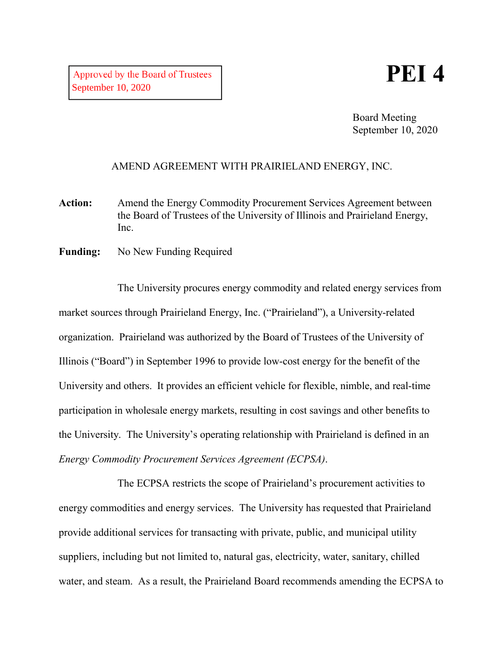## **PEI 4**

Board Meeting September 10, 2020

## AMEND AGREEMENT WITH PRAIRIELAND ENERGY, INC.

- Action: Amend the Energy Commodity Procurement Services Agreement between the Board of Trustees of the University of Illinois and Prairieland Energy, Inc.
- **Funding:** No New Funding Required

The University procures energy commodity and related energy services from market sources through Prairieland Energy, Inc. ("Prairieland"), a University-related organization. Prairieland was authorized by the Board of Trustees of the University of Illinois ("Board") in September 1996 to provide low-cost energy for the benefit of the University and others. It provides an efficient vehicle for flexible, nimble, and real-time participation in wholesale energy markets, resulting in cost savings and other benefits to the University. The University's operating relationship with Prairieland is defined in an *Energy Commodity Procurement Services Agreement (ECPSA)*.

The ECPSA restricts the scope of Prairieland's procurement activities to energy commodities and energy services. The University has requested that Prairieland provide additional services for transacting with private, public, and municipal utility suppliers, including but not limited to, natural gas, electricity, water, sanitary, chilled water, and steam. As a result, the Prairieland Board recommends amending the ECPSA to